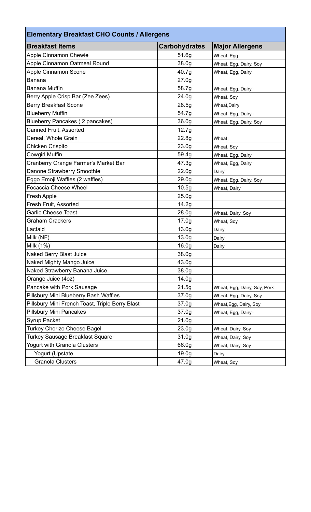| <b>Elementary Breakfast CHO Counts / Allergens</b> |                      |                              |  |
|----------------------------------------------------|----------------------|------------------------------|--|
| <b>Breakfast Items</b>                             | <b>Carbohydrates</b> | <b>Major Allergens</b>       |  |
| <b>Apple Cinnamon Chewie</b>                       | 51.6g                | Wheat, Egg                   |  |
| Apple Cinnamon Oatmeal Round                       | 38.0g                | Wheat, Egg, Dairy, Soy       |  |
| <b>Apple Cinnamon Scone</b>                        | 40.7g                | Wheat, Egg, Dairy            |  |
| <b>Banana</b>                                      | 27.0 <sub>g</sub>    |                              |  |
| <b>Banana Muffin</b>                               | 58.7g                | Wheat, Egg, Dairy            |  |
| Berry Apple Crisp Bar (Zee Zees)                   | 24.0 <sub>g</sub>    | Wheat, Soy                   |  |
| <b>Berry Breakfast Scone</b>                       | 28.5g                | Wheat, Dairy                 |  |
| <b>Blueberry Muffin</b>                            | 54.7g                | Wheat, Egg, Dairy            |  |
| Blueberry Pancakes (2 pancakes)                    | 36.0 <sub>g</sub>    | Wheat, Egg, Dairy, Soy       |  |
| Canned Fruit, Assorted                             | 12.7g                |                              |  |
| Cereal, Whole Grain                                | 22.8g                | Wheat                        |  |
| <b>Chicken Crispito</b>                            | 23.0 <sub>g</sub>    | Wheat, Soy                   |  |
| <b>Cowgirl Muffin</b>                              | 59.4g                | Wheat, Egg, Dairy            |  |
| Cranberry Orange Farmer's Market Bar               | 47.3g                | Wheat, Egg, Dairy            |  |
| Danone Strawberry Smoothie                         | 22.0 <sub>g</sub>    | Dairy                        |  |
| Eggo Emoji Waffles (2 waffles)                     | 29.0 <sub>g</sub>    | Wheat, Egg, Dairy, Soy       |  |
| <b>Focaccia Cheese Wheel</b>                       | 10.5g                | Wheat, Dairy                 |  |
| Fresh Apple                                        | 25.0 <sub>g</sub>    |                              |  |
| Fresh Fruit, Assorted                              | 14.2g                |                              |  |
| <b>Garlic Cheese Toast</b>                         | 28.0g                | Wheat, Dairy, Soy            |  |
| <b>Graham Crackers</b>                             | 17.0 <sub>g</sub>    | Wheat, Soy                   |  |
| Lactaid                                            | 13.0 <sub>g</sub>    | Dairy                        |  |
| Milk (NF)                                          | 13.0 <sub>g</sub>    | Dairy                        |  |
| Milk (1%)                                          | 16.0g                | Dairy                        |  |
| Naked Berry Blast Juice                            | 38.0g                |                              |  |
| Naked Mighty Mango Juice                           | 43.0g                |                              |  |
| Naked Strawberry Banana Juice                      | 38.0g                |                              |  |
| Orange Juice (4oz)                                 | 14.0 <sub>g</sub>    |                              |  |
| Pancake with Pork Sausage                          | 21.5g                | Wheat, Egg, Dairy, Soy, Pork |  |
| Pillsbury Mini Blueberry Bash Waffles              | 37.0 <sub>g</sub>    | Wheat, Egg, Dairy, Soy       |  |
| Pillsbury Mini French Toast, Triple Berry Blast    | 37.0 <sub>g</sub>    | Wheat, Egg, Dairy, Soy       |  |
| <b>Pillsbury Mini Pancakes</b>                     | 37.0 <sub>g</sub>    | Wheat, Egg, Dairy            |  |
| <b>Syrup Packet</b>                                | 21.0 <sub>g</sub>    |                              |  |
| Turkey Chorizo Cheese Bagel                        | 23.0 <sub>g</sub>    | Wheat, Dairy, Soy            |  |
| <b>Turkey Sausage Breakfast Square</b>             | 31.0 <sub>g</sub>    | Wheat, Dairy, Soy            |  |
| Yogurt with Granola Clusters                       | 66.0g                | Wheat, Dairy, Soy            |  |
| Yogurt (Upstate                                    | 19.0 <sub>g</sub>    | Dairy                        |  |
| <b>Granola Clusters</b>                            | 47.0g                | Wheat, Soy                   |  |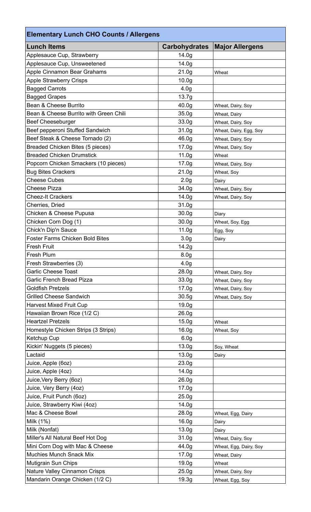| <b>Elementary Lunch CHO Counts / Allergens</b> |                      |                        |  |  |
|------------------------------------------------|----------------------|------------------------|--|--|
| <b>Lunch Items</b>                             | <b>Carbohydrates</b> | <b>Major Allergens</b> |  |  |
| Applesauce Cup, Strawberry                     | 14.0 <sub>g</sub>    |                        |  |  |
| Applesauce Cup, Unsweetened                    | 14.0 <sub>g</sub>    |                        |  |  |
| Apple Cinnamon Bear Grahams                    | 21.0 <sub>g</sub>    | Wheat                  |  |  |
| <b>Apple Strawberry Crisps</b>                 | 10.0 <sub>g</sub>    |                        |  |  |
| <b>Bagged Carrots</b>                          | 4.0 <sub>g</sub>     |                        |  |  |
| <b>Bagged Grapes</b>                           | 13.7g                |                        |  |  |
| Bean & Cheese Burrito                          | 40.0g                | Wheat, Dairy, Soy      |  |  |
| Bean & Cheese Burrito with Green Chili         | 35.0 <sub>g</sub>    | Wheat, Dairy           |  |  |
| <b>Beef Cheeseburger</b>                       | 33.0 <sub>g</sub>    | Wheat, Dairy, Soy      |  |  |
| Beef pepperoni Stuffed Sandwich                | 31.0 <sub>g</sub>    | Wheat, Dairy, Egg, Soy |  |  |
| Beef Steak & Cheese Tornado (2)                | 46.0g                | Wheat, Dairy, Soy      |  |  |
| Breaded Chicken Bites (5 pieces)               | 17.0 <sub>g</sub>    | Wheat, Dairy, Soy      |  |  |
| <b>Breaded Chicken Drumstick</b>               | 11.0 <sub>g</sub>    | Wheat                  |  |  |
| Popcorn Chicken Smackers (10 pieces)           | 17.0 <sub>g</sub>    | Wheat, Dairy, Soy      |  |  |
| <b>Bug Bites Crackers</b>                      | 21.0 <sub>g</sub>    | Wheat, Soy             |  |  |
| <b>Cheese Cubes</b>                            | 2.0 <sub>g</sub>     | Dairy                  |  |  |
| <b>Cheese Pizza</b>                            | 34.0 <sub>g</sub>    | Wheat, Dairy, Soy      |  |  |
| <b>Cheez-It Crackers</b>                       | 14.0g                | Wheat, Dairy, Soy      |  |  |
| Cherries, Dried                                | 31.0 <sub>g</sub>    |                        |  |  |
| Chicken & Cheese Pupusa                        | 30.0 <sub>g</sub>    | Diary                  |  |  |
| Chicken Corn Dog (1)                           | 30.0 <sub>g</sub>    | Wheat, Soy, Egg        |  |  |
| Chick'n Dip'n Sauce                            | 11.0 <sub>g</sub>    | Egg, Soy               |  |  |
| <b>Foster Farms Chicken Bold Bites</b>         | 3.0 <sub>g</sub>     | Dairy                  |  |  |
| <b>Fresh Fruit</b>                             | 14.2g                |                        |  |  |
| Fresh Plum                                     | 8.0 <sub>g</sub>     |                        |  |  |
| Fresh Strawberries (3)                         | 4.0 <sub>g</sub>     |                        |  |  |
| <b>Garlic Cheese Toast</b>                     | 28.0g                | Wheat, Dairy, Soy      |  |  |
| <b>Garlic French Bread Pizza</b>               | 33.0g                | Wheat, Dairy, Soy      |  |  |
| <b>Goldfish Pretzels</b>                       | 17.0 <sub>g</sub>    | Wheat, Dairy, Soy      |  |  |
| <b>Grilled Cheese Sandwich</b>                 | 30.5g                | Wheat, Dairy, Soy      |  |  |
| <b>Harvest Mixed Fruit Cup</b>                 | 19.0 <sub>g</sub>    |                        |  |  |
| Hawaiian Brown Rice (1/2 C)                    | 26.0 <sub>g</sub>    |                        |  |  |
| <b>Heartzel Pretzels</b>                       | 15.0 <sub>g</sub>    | Wheat                  |  |  |
| Homestyle Chicken Strips (3 Strips)            | 16.0g                | Wheat, Soy             |  |  |
| Ketchup Cup                                    | 6.0 <sub>g</sub>     |                        |  |  |
| Kickin' Nuggets (5 pieces)                     | 13.0 <sub>g</sub>    | Soy, Wheat             |  |  |
| Lactaid                                        | 13.0 <sub>g</sub>    | Dairy                  |  |  |
| Juice, Apple (6oz)                             | 23.0 <sub>g</sub>    |                        |  |  |
| Juice, Apple (4oz)                             | 14.0 <sub>g</sub>    |                        |  |  |
| Juice, Very Berry (6oz)                        | 26.0 <sub>g</sub>    |                        |  |  |
| Juice, Very Berry (4oz)                        | 17.0 <sub>g</sub>    |                        |  |  |
| Juice, Fruit Punch (6oz)                       | 25.0 <sub>g</sub>    |                        |  |  |
| Juice, Strawberry Kiwi (4oz)                   | 14.0 <sub>g</sub>    |                        |  |  |
| Mac & Cheese Bowl                              | 28.0g                | Wheat, Egg, Dairy      |  |  |
| Milk (1%)                                      | 16.0g                | Dairy                  |  |  |
| Milk (Nonfat)                                  | 13.0 <sub>g</sub>    | Dairy                  |  |  |
| Miller's All Natural Beef Hot Dog              | 31.0 <sub>g</sub>    | Wheat, Dairy, Soy      |  |  |
| Mini Corn Dog with Mac & Cheese                | 44.0g                | Wheat, Egg, Dairy, Soy |  |  |
| <b>Muchies Munch Snack Mix</b>                 | 17.0 <sub>g</sub>    | Wheat, Dairy           |  |  |
| Mutigrain Sun Chips                            | 19.0 <sub>g</sub>    | Wheat                  |  |  |
| Nature Valley Cinnamon Crisps                  | 25.0 <sub>g</sub>    | Wheat, Dairy, Soy      |  |  |
| Mandarin Orange Chicken (1/2 C)                | 19.3g                | Wheat, Egg, Soy        |  |  |